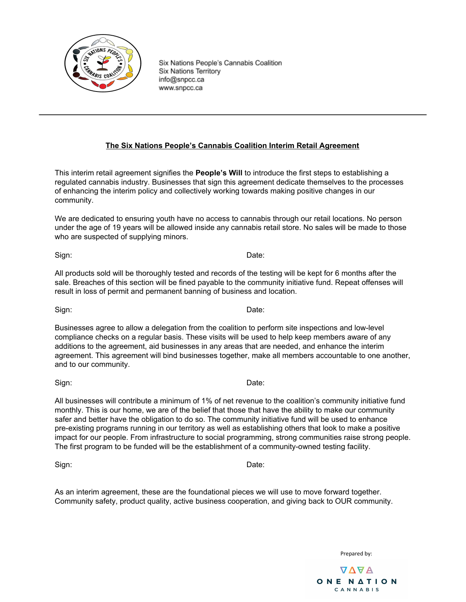

#### **The Six Nations People's Cannabis Coalition Interim Retail Agreement**

This interim retail agreement signifies the **People's Will** to introduce the first steps to establishing a regulated cannabis industry. Businesses that sign this agreement dedicate themselves to the processes of enhancing the interim policy and collectively working towards making positive changes in our community.

We are dedicated to ensuring youth have no access to cannabis through our retail locations. No person under the age of 19 years will be allowed inside any cannabis retail store. No sales will be made to those who are suspected of supplying minors.

Sign: **Date:** Date: **Date: Date: Date: Date: Date: Date: Date: Date: Date: Date: Date: Date: Date: Date: Date: Date: Date: Date: Date: Date: Date: Date: Date: Date: Date: D** 

All products sold will be thoroughly tested and records of the testing will be kept for 6 months after the sale. Breaches of this section will be fined payable to the community initiative fund. Repeat offenses will result in loss of permit and permanent banning of business and location.

Businesses agree to allow a delegation from the coalition to perform site inspections and low-level compliance checks on a regular basis. These visits will be used to help keep members aware of any additions to the agreement, aid businesses in any areas that are needed, and enhance the interim agreement. This agreement will bind businesses together, make all members accountable to one another, and to our community.

impact for our people. From infrastructure to social programming, strong communities raise strong people.

Sign: **Date:** Date: **Date: Date: Date: Date: Date: Date: Date: Date: Date: Date: Date: Date: Date: Date: Date: Date: Date: Date: Date: Date: Date: Date: Date: Date: Date: D** All businesses will contribute a minimum of 1% of net revenue to the coalition's community initiative fund monthly. This is our home, we are of the belief that those that have the ability to make our community safer and better have the obligation to do so. The community initiative fund will be used to enhance pre-existing programs running in our territory as well as establishing others that look to make a positive

The first program to be funded will be the establishment of a community-owned testing facility.

Sign: **Date:** Date: **Date: Date: Date: Date: Date: Date: Date: Date: Date: Date: Date: Date: Date: Date: Date: Date: Date: Date: Date: Date: Date: Date: Date: Date: Date: D** 

As an interim agreement, these are the foundational pieces we will use to move forward together. Community safety, product quality, active business cooperation, and giving back to OUR community.

Prepared by:

**AVAR** ONE NATION CANNABIS

Sign: **Date:** Date: **Date: Date: Date: Date: Date: Date: Date: Date: Date: Date: Date: Date: Date: Date: Date: Date: Date: Date: Date: Date: Date: Date: Date: Date: Date: D**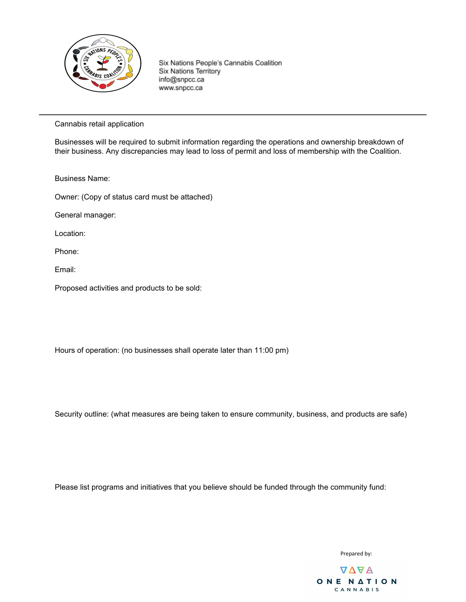

Cannabis retail application

Businesses will be required to submit information regarding the operations and ownership breakdown of their business. Any discrepancies may lead to loss of permit and loss of membership with the Coalition.

Business Name:

Owner: (Copy of status card must be attached)

General manager:

Location:

Phone:

Email:

Proposed activities and products to be sold:

Hours of operation: (no businesses shall operate later than 11:00 pm)

Security outline: (what measures are being taken to ensure community, business, and products are safe)

Please list programs and initiatives that you believe should be funded through the community fund:

Prepared by:

**AVAR** ONE NATION CANNABIS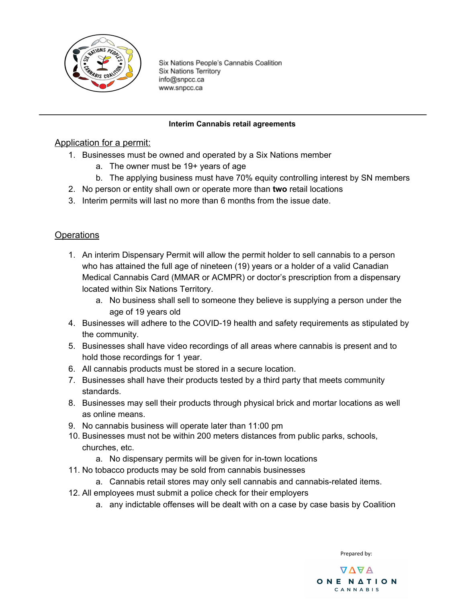

### **Interim Cannabis retail agreements**

# Application for a permit:

- 1. Businesses must be owned and operated by a Six Nations member
	- a. The owner must be 19+ years of age
	- b. The applying business must have 70% equity controlling interest by SN members
- 2. No person or entity shall own or operate more than **two** retail locations
- 3. Interim permits will last no more than 6 months from the issue date.

# **Operations**

- 1. An interim Dispensary Permit will allow the permit holder to sell cannabis to a person who has attained the full age of nineteen (19) years or a holder of a valid Canadian Medical Cannabis Card (MMAR or ACMPR) or doctor's prescription from a dispensary located within Six Nations Territory.
	- a. No business shall sell to someone they believe is supplying a person under the age of 19 years old
- 4. Businesses will adhere to the COVID-19 health and safety requirements as stipulated by the community.
- 5. Businesses shall have video recordings of all areas where cannabis is present and to hold those recordings for 1 year.
- 6. All cannabis products must be stored in a secure location.
- 7. Businesses shall have their products tested by a third party that meets community standards.
- 8. Businesses may sell their products through physical brick and mortar locations as well as online means.
- 9. No cannabis business will operate later than 11:00 pm
- 10. Businesses must not be within 200 meters distances from public parks, schools, churches, etc.
	- a. No dispensary permits will be given for in-town locations
- 11. No tobacco products may be sold from cannabis businesses
	- a. Cannabis retail stores may only sell cannabis and cannabis-related items.
- 12. All employees must submit a police check for their employers
	- a. any indictable offenses will be dealt with on a case by case basis by Coalition

Prepared by:

**AVAR** ONE NATION CANNABIS